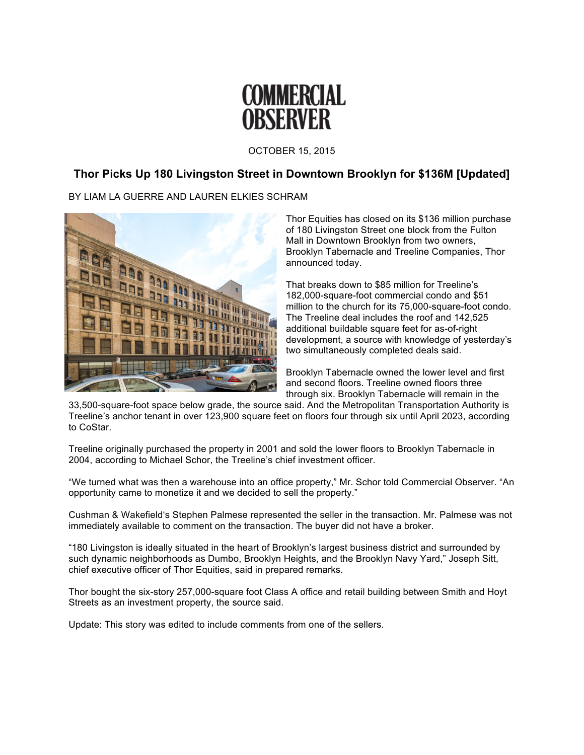

OCTOBER 15, 2015

## **Thor Picks Up 180 Livingston Street in Downtown Brooklyn for \$136M [Updated]**

## BY LIAM LA GUERRE AND LAUREN ELKIES SCHRAM



Thor Equities has closed on its \$136 million purchase of 180 Livingston Street one block from the Fulton Mall in Downtown Brooklyn from two owners, Brooklyn Tabernacle and Treeline Companies, Thor announced today.

That breaks down to \$85 million for Treeline's 182,000-square-foot commercial condo and \$51 million to the church for its 75,000-square-foot condo. The Treeline deal includes the roof and 142,525 additional buildable square feet for as-of-right development, a source with knowledge of yesterday's two simultaneously completed deals said.

Brooklyn Tabernacle owned the lower level and first and second floors. Treeline owned floors three through six. Brooklyn Tabernacle will remain in the

33,500-square-foot space below grade, the source said. And the Metropolitan Transportation Authority is Treeline's anchor tenant in over 123,900 square feet on floors four through six until April 2023, according to CoStar.

Treeline originally purchased the property in 2001 and sold the lower floors to Brooklyn Tabernacle in 2004, according to Michael Schor, the Treeline's chief investment officer.

"We turned what was then a warehouse into an office property," Mr. Schor told Commercial Observer. "An opportunity came to monetize it and we decided to sell the property."

Cushman & Wakefield's Stephen Palmese represented the seller in the transaction. Mr. Palmese was not immediately available to comment on the transaction. The buyer did not have a broker.

"180 Livingston is ideally situated in the heart of Brooklyn's largest business district and surrounded by such dynamic neighborhoods as Dumbo, Brooklyn Heights, and the Brooklyn Navy Yard," Joseph Sitt, chief executive officer of Thor Equities, said in prepared remarks.

Thor bought the six-story 257,000-square foot Class A office and retail building between Smith and Hoyt Streets as an investment property, the source said.

Update: This story was edited to include comments from one of the sellers.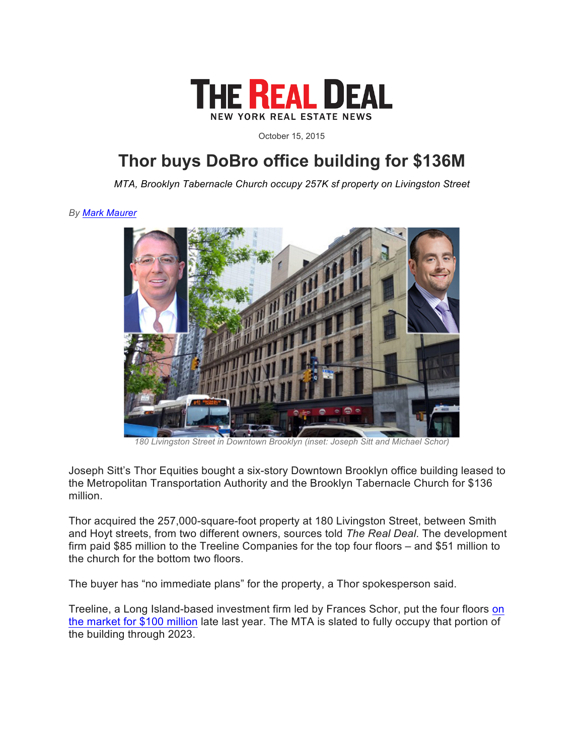

October 15, 2015

## **Thor buys DoBro office building for \$136M**

*MTA, Brooklyn Tabernacle Church occupy 257K sf property on Livingston Street*

*By Mark Maurer*



*180 Livingston Street in Downtown Brooklyn (inset: Joseph Sitt and Michael Schor)*

Joseph Sitt's Thor Equities bought a six-story Downtown Brooklyn office building leased to the Metropolitan Transportation Authority and the Brooklyn Tabernacle Church for \$136 million.

Thor acquired the 257,000-square-foot property at 180 Livingston Street, between Smith and Hoyt streets, from two different owners, sources told *The Real Deal*. The development firm paid \$85 million to the Treeline Companies for the top four floors – and \$51 million to the church for the bottom two floors.

The buyer has "no immediate plans" for the property, a Thor spokesperson said.

Treeline, a Long Island-based investment firm led by Frances Schor, put the four floors on the market for \$100 million late last year. The MTA is slated to fully occupy that portion of the building through 2023.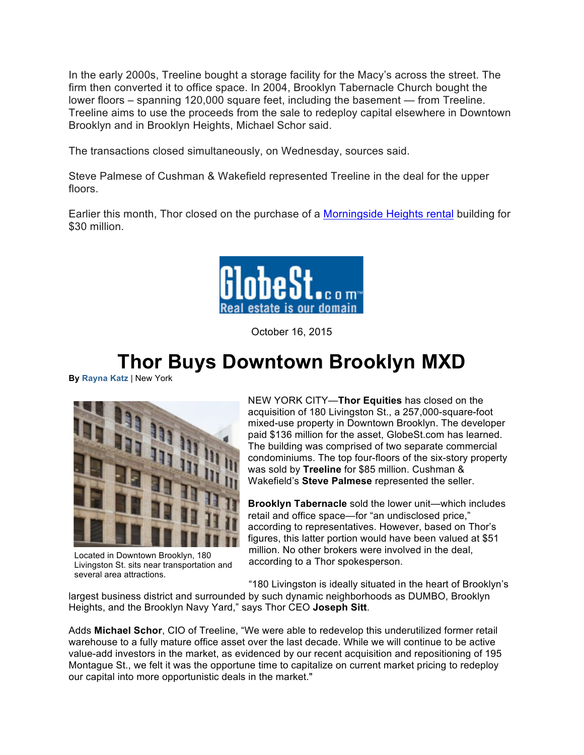In the early 2000s, Treeline bought a storage facility for the Macy's across the street. The firm then converted it to office space. In 2004, Brooklyn Tabernacle Church bought the lower floors – spanning 120,000 square feet, including the basement — from Treeline. Treeline aims to use the proceeds from the sale to redeploy capital elsewhere in Downtown Brooklyn and in Brooklyn Heights, Michael Schor said.

The transactions closed simultaneously, on Wednesday, sources said.

Steve Palmese of Cushman & Wakefield represented Treeline in the deal for the upper floors.

Earlier this month, Thor closed on the purchase of a Morningside Heights rental building for \$30 million.



October 16, 2015

## **Thor Buys Downtown Brooklyn MXD**

**By Rayna Katz** | New York



Located in Downtown Brooklyn, 180 Livingston St. sits near transportation and several area attractions.

NEW YORK CITY—**Thor Equities** has closed on the acquisition of 180 Livingston St., a 257,000-square-foot mixed-use property in Downtown Brooklyn. The developer paid \$136 million for the asset, GlobeSt.com has learned. The building was comprised of two separate commercial condominiums. The top four-floors of the six-story property was sold by **Treeline** for \$85 million. Cushman & Wakefield's **Steve Palmese** represented the seller.

**Brooklyn Tabernacle** sold the lower unit—which includes retail and office space—for "an undisclosed price," according to representatives. However, based on Thor's figures, this latter portion would have been valued at \$51 million. No other brokers were involved in the deal, according to a Thor spokesperson.

"180 Livingston is ideally situated in the heart of Brooklyn's

largest business district and surrounded by such dynamic neighborhoods as DUMBO, Brooklyn Heights, and the Brooklyn Navy Yard," says Thor CEO **Joseph Sitt**.

Adds **Michael Schor**, CIO of Treeline, "We were able to redevelop this underutilized former retail warehouse to a fully mature office asset over the last decade. While we will continue to be active value-add investors in the market, as evidenced by our recent acquisition and repositioning of 195 Montague St., we felt it was the opportune time to capitalize on current market pricing to redeploy our capital into more opportunistic deals in the market."